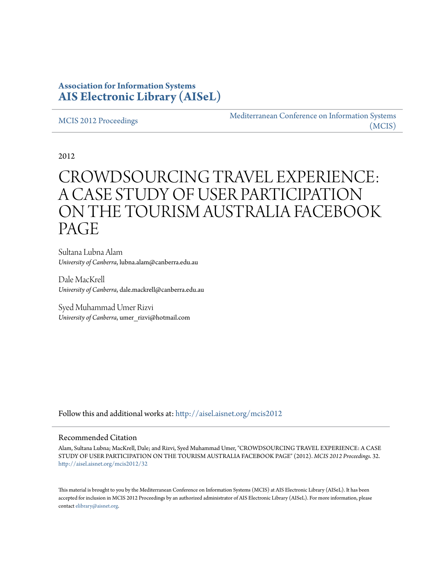# **Association for Information Systems [AIS Electronic Library \(AISeL\)](http://aisel.aisnet.org?utm_source=aisel.aisnet.org%2Fmcis2012%2F32&utm_medium=PDF&utm_campaign=PDFCoverPages)**

#### [MCIS 2012 Proceedings](http://aisel.aisnet.org/mcis2012?utm_source=aisel.aisnet.org%2Fmcis2012%2F32&utm_medium=PDF&utm_campaign=PDFCoverPages)

[Mediterranean Conference on Information Systems](http://aisel.aisnet.org/mcis?utm_source=aisel.aisnet.org%2Fmcis2012%2F32&utm_medium=PDF&utm_campaign=PDFCoverPages) [\(MCIS\)](http://aisel.aisnet.org/mcis?utm_source=aisel.aisnet.org%2Fmcis2012%2F32&utm_medium=PDF&utm_campaign=PDFCoverPages)

2012

# CROWDSOURCING TRAVEL EXPERIENCE: A CASE STUDY OF USER PARTICIPATION ON THE TOURISM AUSTRALIA FACEBOOK PAGE

Sultana Lubna Alam *University of Canberra*, lubna.alam@canberra.edu.au

Dale MacKrell *University of Canberra*, dale.mackrell@canberra.edu.au

Syed Muhammad Umer Rizvi *University of Canberra*, umer\_rizvi@hotmail.com

Follow this and additional works at: [http://aisel.aisnet.org/mcis2012](http://aisel.aisnet.org/mcis2012?utm_source=aisel.aisnet.org%2Fmcis2012%2F32&utm_medium=PDF&utm_campaign=PDFCoverPages)

#### Recommended Citation

Alam, Sultana Lubna; MacKrell, Dale; and Rizvi, Syed Muhammad Umer, "CROWDSOURCING TRAVEL EXPERIENCE: A CASE STUDY OF USER PARTICIPATION ON THE TOURISM AUSTRALIA FACEBOOK PAGE" (2012). *MCIS 2012 Proceedings*. 32. [http://aisel.aisnet.org/mcis2012/32](http://aisel.aisnet.org/mcis2012/32?utm_source=aisel.aisnet.org%2Fmcis2012%2F32&utm_medium=PDF&utm_campaign=PDFCoverPages)

This material is brought to you by the Mediterranean Conference on Information Systems (MCIS) at AIS Electronic Library (AISeL). It has been accepted for inclusion in MCIS 2012 Proceedings by an authorized administrator of AIS Electronic Library (AISeL). For more information, please contact [elibrary@aisnet.org.](mailto:elibrary@aisnet.org%3E)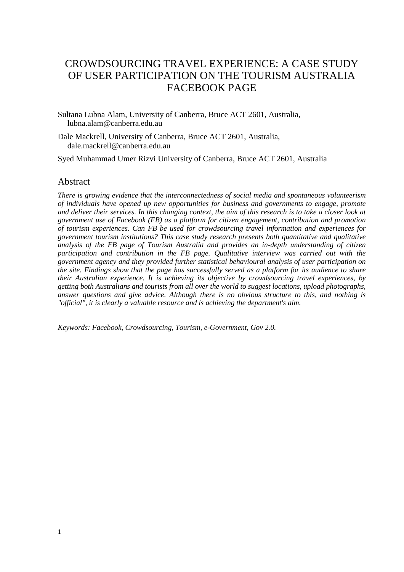# CROWDSOURCING TRAVEL EXPERIENCE: A CASE STUDY OF USER PARTICIPATION ON THE TOURISM AUSTRALIA FACEBOOK PAGE

Sultana Lubna Alam, University of Canberra, Bruce ACT 2601, Australia, lubna.alam@canberra.edu.au

Dale Mackrell, University of Canberra, Bruce ACT 2601, Australia, dale.mackrell@canberra.edu.au

Syed Muhammad Umer Rizvi University of Canberra, Bruce ACT 2601, Australia

#### Abstract

*There is growing evidence that the interconnectedness of social media and spontaneous volunteerism of individuals have opened up new opportunities for business and governments to engage, promote and deliver their services. In this changing context, the aim of this research is to take a closer look at government use of Facebook (FB) as a platform for citizen engagement, contribution and promotion of tourism experiences. Can FB be used for crowdsourcing travel information and experiences for government tourism institutions? This case study research presents both quantitative and qualitative analysis of the FB page of Tourism Australia and provides an in-depth understanding of citizen participation and contribution in the FB page. Qualitative interview was carried out with the government agency and they provided further statistical behavioural analysis of user participation on the site. Findings show that the page has successfully served as a platform for its audience to share their Australian experience. It is achieving its objective by crowdsourcing travel experiences, by getting both Australians and tourists from all over the world to suggest locations, upload photographs, answer questions and give advice. Although there is no obvious structure to this, and nothing is "official", it is clearly a valuable resource and is achieving the department's aim.* 

*Keywords: Facebook, Crowdsourcing, Tourism, e-Government, Gov 2.0.*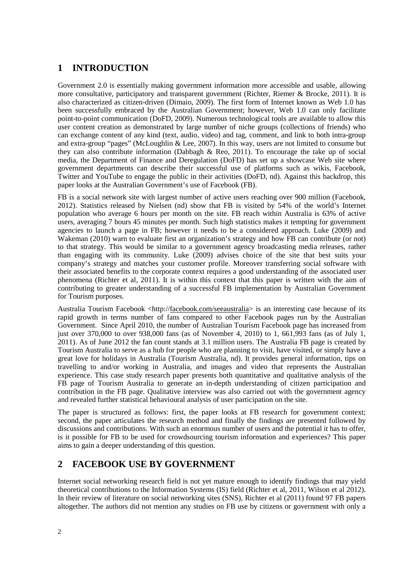# **1 INTRODUCTION**

Government 2.0 is essentially making government information more accessible and usable, allowing more consultative, participatory and transparent government (Richter, Riemer & Brocke, 2011). It is also characterized as citizen-driven (Dimaio, 2009). The first form of Internet known as Web 1.0 has been successfully embraced by the Australian Government; however, Web 1.0 can only facilitate point-to-point communication (DoFD, 2009). Numerous technological tools are available to allow this user content creation as demonstrated by large number of niche groups (collections of friends) who can exchange content of any kind (text, audio, video) and tag, comment, and link to both intra-group and extra-group "pages" (McLoughlin & Lee, 2007). In this way, users are not limited to consume but they can also contribute information (Dabbagh & Reo, 2011). To encourage the take up of social media, the Department of Finance and Deregulation (DoFD) has set up a showcase Web site where government departments can describe their successful use of platforms such as wikis, Facebook, Twitter and YouTube to engage the public in their activities (DoFD, nd). Against this backdrop, this paper looks at the Australian Government's use of Facebook (FB).

FB is a social network site with largest number of active users reaching over 900 million (Facebook, 2012). Statistics released by Nielsen (nd) show that FB is visited by 54% of the world's Internet population who average 6 hours per month on the site. FB reach within Australia is 63% of active users, averaging 7 hours 45 minutes per month. Such high statistics makes it tempting for government agencies to launch a page in FB; however it needs to be a considered approach. Luke (2009) and Wakeman (2010) warn to evaluate first an organization's strategy and how FB can contribute (or not) to that strategy. This would be similar to a government agency broadcasting media releases, rather than engaging with its community. Luke (2009) advises choice of the site that best suits your company's strategy and matches your customer profile. Moreover transferring social software with their associated benefits to the corporate context requires a good understanding of the associated user phenomena (Richter et al, 2011). It is within this context that this paper is written with the aim of contributing to greater understanding of a successful FB implementation by Australian Government for Tourism purposes.

Australia Tourism Facebook <http://facebook.com/seeaustralia> is an interesting case because of its rapid growth in terms number of fans compared to other Facebook pages run by the Australian Government. Since April 2010, the number of Australian Tourism Facebook page has increased from just over 370,000 to over 938,000 fans (as of November 4, 2010) to 1, 661,993 fans (as of July 1, 2011). As of June 2012 the fan count stands at 3.1 million users. The Australia FB page is created by Tourism Australia to serve as a hub for people who are planning to visit, have visited, or simply have a great love for holidays in Australia (Tourism Australia, nd). It provides general information, tips on travelling to and/or working in Australia, and images and video that represents the Australian experience. This case study research paper presents both quantitative and qualitative analysis of the FB page of Tourism Australia to generate an in-depth understanding of citizen participation and contribution in the FB page. Qualitative interview was also carried out with the government agency and revealed further statistical behavioural analysis of user participation on the site.

The paper is structured as follows: first, the paper looks at FB research for government context; second, the paper articulates the research method and finally the findings are presented followed by discussions and contributions. With such an enormous number of users and the potential it has to offer, is it possible for FB to be used for crowdsourcing tourism information and experiences? This paper aims to gain a deeper understanding of this question.

# **2 FACEBOOK USE BY GOVERNMENT**

Internet social networking research field is not yet mature enough to identify findings that may yield theoretical contributions to the Information Systems (IS) field (Richter et al, 2011, Wilson et al 2012). In their review of literature on social networking sites (SNS), Richter et al (2011) found 97 FB papers altogether. The authors did not mention any studies on FB use by citizens or government with only a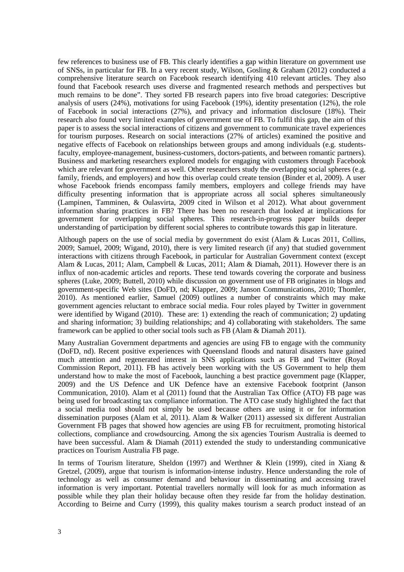few references to business use of FB. This clearly identifies a gap within literature on government use of SNSs, in particular for FB. In a very recent study, Wilson, Gosling & Graham (2012) conducted a comprehensive literature search on Facebook research identifying 410 relevant articles. They also found that Facebook research uses diverse and fragmented research methods and perspectives but much remains to be done". They sorted FB research papers into five broad categories: Descriptive analysis of users (24%), motivations for using Facebook (19%), identity presentation (12%), the role of Facebook in social interactions (27%), and privacy and information disclosure (18%). Their research also found very limited examples of government use of FB. To fulfil this gap, the aim of this paper is to assess the social interactions of citizens and government to communicate travel experiences for tourism purposes. Research on social interactions (27% of articles) examined the positive and negative effects of Facebook on relationships between groups and among individuals (e.g. studentsfaculty, employee-management, business-customers, doctors-patients, and between romantic partners). Business and marketing researchers explored models for engaging with customers through Facebook which are relevant for government as well. Other researchers study the overlapping social spheres (e.g. family, friends, and employers) and how this overlap could create tension (Binder et al, 2009). A user whose Facebook friends encompass family members, employers and college friends may have difficulty presenting information that is appropriate across all social spheres simultaneously (Lampinen, Tamminen, & Oulasvirta, 2009 cited in Wilson et al 2012). What about government information sharing practices in FB? There has been no research that looked at implications for government for overlapping social spheres. This research-in-progress paper builds deeper understanding of participation by different social spheres to contribute towards this gap in literature.

Although papers on the use of social media by government do exist (Alam  $\&$  Lucas 2011, Collins, 2009; Samuel, 2009; Wigand, 2010), there is very limited research (if any) that studied government interactions with citizens through Facebook, in particular for Australian Government context (except Alam & Lucas, 2011; Alam, Campbell & Lucas, 2011; Alam & Diamah, 2011). However there is an influx of non-academic articles and reports. These tend towards covering the corporate and business spheres (Luke, 2009; Buttell, 2010) while discussion on government use of FB originates in blogs and government-specific Web sites (DoFD, nd; Klapper, 2009; Janson Communications, 2010; Thomler, 2010). As mentioned earlier, Samuel (2009) outlines a number of constraints which may make government agencies reluctant to embrace social media. Four roles played by Twitter in government were identified by Wigand (2010). These are: 1) extending the reach of communication; 2) updating and sharing information; 3) building relationships; and 4) collaborating with stakeholders. The same framework can be applied to other social tools such as FB (Alam & Diamah 2011).

Many Australian Government departments and agencies are using FB to engage with the community (DoFD, nd). Recent positive experiences with Queensland floods and natural disasters have gained much attention and regenerated interest in SNS applications such as FB and Twitter (Royal Commission Report, 2011). FB has actively been working with the US Government to help them understand how to make the most of Facebook, launching a best practice government page (Klapper, 2009) and the US Defence and UK Defence have an extensive Facebook footprint (Janson Communication, 2010). Alam et al (2011) found that the Australian Tax Office (ATO) FB page was being used for broadcasting tax compliance information. The ATO case study highlighted the fact that a social media tool should not simply be used because others are using it or for information dissemination purposes (Alam et al, 2011). Alam & Walker (2011) assessed six different Australian Government FB pages that showed how agencies are using FB for recruitment, promoting historical collections, compliance and crowdsourcing. Among the six agencies Tourism Australia is deemed to have been successful. Alam & Diamah (2011) extended the study to understanding communicative practices on Tourism Australia FB page.

In terms of Tourism literature, Sheldon (1997) and Werthner & Klein (1999), cited in Xiang  $\&$ Gretzel, (2009), argue that tourism is information-intense industry. Hence understanding the role of technology as well as consumer demand and behaviour in disseminating and accessing travel information is very important. Potential travellers normally will look for as much information as possible while they plan their holiday because often they reside far from the holiday destination. According to Beirne and Curry (1999), this quality makes tourism a search product instead of an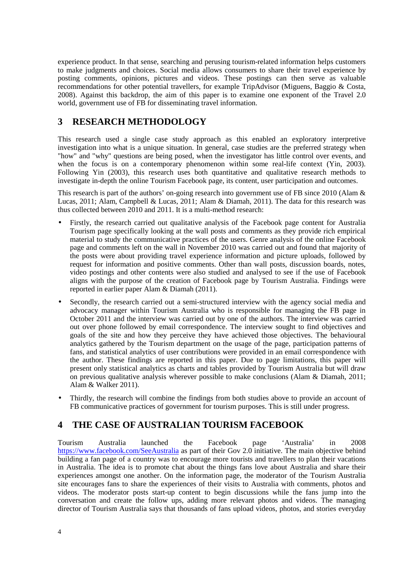experience product. In that sense, searching and perusing tourism-related information helps customers to make judgments and choices. Social media allows consumers to share their travel experience by posting comments, opinions, pictures and videos. These postings can then serve as valuable recommendations for other potential travellers, for example TripAdvisor (Miguens, Baggio & Costa, 2008). Against this backdrop, the aim of this paper is to examine one exponent of the Travel 2.0 world, government use of FB for disseminating travel information.

# **3 RESEARCH METHODOLOGY**

This research used a single case study approach as this enabled an exploratory interpretive investigation into what is a unique situation. In general, case studies are the preferred strategy when "how" and "why" questions are being posed, when the investigator has little control over events, and when the focus is on a contemporary phenomenon within some real-life context (Yin, 2003). Following Yin (2003), this research uses both quantitative and qualitative research methods to investigate in-depth the online Tourism Facebook page, its content, user participation and outcomes.

This research is part of the authors' on-going research into government use of FB since 2010 (Alam & Lucas, 2011; Alam, Campbell & Lucas, 2011; Alam & Diamah, 2011). The data for this research was thus collected between  $2010$  and  $2011$ . It is a multi-method research:

- Firstly, the research carried out qualitative analysis of the Facebook page content for Australia Tourism page specifically looking at the wall posts and comments as they provide rich empirical material to study the communicative practices of the users. Genre analysis of the online Facebook page and comments left on the wall in November 2010 was carried out and found that majority of the posts were about providing travel experience information and picture uploads, followed by request for information and positive comments. Other than wall posts, discussion boards, notes, video postings and other contents were also studied and analysed to see if the use of Facebook aligns with the purpose of the creation of Facebook page by Tourism Australia. Findings were reported in earlier paper Alam & Diamah (2011).
- Secondly, the research carried out a semi-structured interview with the agency social media and advocacy manager within Tourism Australia who is responsible for managing the FB page in October 2011 and the interview was carried out by one of the authors. The interview was carried out over phone followed by email correspondence. The interview sought to find objectives and goals of the site and how they perceive they have achieved those objectives. The behavioural analytics gathered by the Tourism department on the usage of the page, participation patterns of fans, and statistical analytics of user contributions were provided in an email correspondence with the author. These findings are reported in this paper. Due to page limitations, this paper will present only statistical analytics as charts and tables provided by Tourism Australia but will draw on previous qualitative analysis wherever possible to make conclusions (Alam & Diamah, 2011; Alam & Walker 2011).
- Thirdly, the research will combine the findings from both studies above to provide an account of FB communicative practices of government for tourism purposes. This is still under progress.

# **4 THE CASE OF AUSTRALIAN TOURISM FACEBOOK**

Tourism Australia launched the Facebook page 'Australia' in 2008 https://www.facebook.com/SeeAustralia as part of their Gov 2.0 initiative. The main objective behind building a fan page of a country was to encourage more tourists and travellers to plan their vacations in Australia. The idea is to promote chat about the things fans love about Australia and share their experiences amongst one another. On the information page, the moderator of the Tourism Australia site encourages fans to share the experiences of their visits to Australia with comments, photos and videos. The moderator posts start-up content to begin discussions while the fans jump into the conversation and create the follow ups, adding more relevant photos and videos. The managing director of Tourism Australia says that thousands of fans upload videos, photos, and stories everyday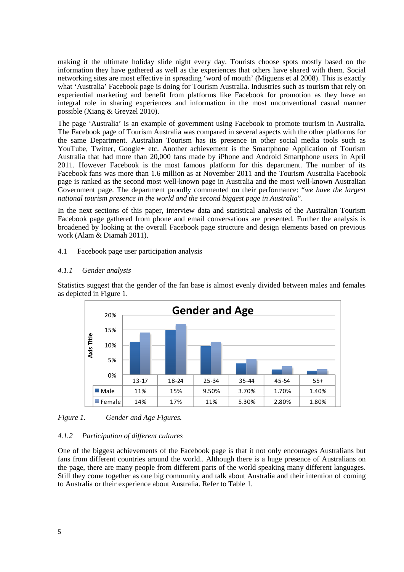making it the ultimate holiday slide night every day. Tourists choose spots mostly based on the information they have gathered as well as the experiences that others have shared with them. Social networking sites are most effective in spreading 'word of mouth' (Miguens et al 2008). This is exactly what 'Australia' Facebook page is doing for Tourism Australia. Industries such as tourism that rely on experiential marketing and benefit from platforms like Facebook for promotion as they have an integral role in sharing experiences and information in the most unconventional casual manner possible (Xiang & Greyzel 2010).

The page 'Australia' is an example of government using Facebook to promote tourism in Australia. The Facebook page of Tourism Australia was compared in several aspects with the other platforms for the same Department. Australian Tourism has its presence in other social media tools such as YouTube, Twitter, Google+ etc. Another achievement is the Smartphone Application of Tourism Australia that had more than 20,000 fans made by iPhone and Android Smartphone users in April 2011. However Facebook is the most famous platform for this department. The number of its Facebook fans was more than 1.6 million as at November 2011 and the Tourism Australia Facebook page is ranked as the second most well-known page in Australia and the most well-known Australian Government page. The department proudly commented on their performance: "*we have the largest national tourism presence in the world and the second biggest page in Australia*".

In the next sections of this paper, interview data and statistical analysis of the Australian Tourism Facebook page gathered from phone and email conversations are presented. Further the analysis is broadened by looking at the overall Facebook page structure and design elements based on previous work (Alam & Diamah 2011).

#### 4.1 Facebook page user participation analysis

#### *4.1.1 Gender analysis*

Statistics suggest that the gender of the fan base is almost evenly divided between males and females as depicted in Figure 1.



*Figure 1. Gender and Age Figures.* 

#### *4.1.2 Participation of different cultures*

One of the biggest achievements of the Facebook page is that it not only encourages Australians but fans from different countries around the world.. Although there is a huge presence of Australians on the page, there are many people from different parts of the world speaking many different languages. Still they come together as one big community and talk about Australia and their intention of coming to Australia or their experience about Australia. Refer to Table 1.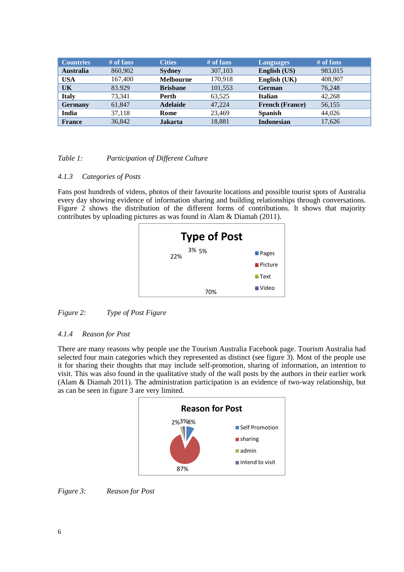| <b>Countries</b> | $#$ of fans | <b>Cities</b>    | $#$ of fans | <b>Languages</b>       | $#$ of fans |
|------------------|-------------|------------------|-------------|------------------------|-------------|
| <b>Australia</b> | 860,902     | <b>Sydney</b>    | 307,103     | English (US)           | 983,015     |
| <b>USA</b>       | 167,400     | <b>Melbourne</b> | 170,918     | English (UK)           | 408,907     |
| UK               | 83.929      | <b>Brishane</b>  | 101.553     | <b>German</b>          | 76.248      |
| <b>Italy</b>     | 73.341      | <b>Perth</b>     | 63,525      | <b>Italian</b>         | 42.268      |
| <b>Germany</b>   | 61.847      | <b>Adelaide</b>  | 47.224      | <b>French (France)</b> | 56,155      |
| India            | 37.118      | Rome             | 23.469      | <b>Spanish</b>         | 44,026      |
| <b>France</b>    | 36,842      | <b>Jakarta</b>   | 18,881      | <b>Indonesian</b>      | 17,626      |

#### *Table 1: Participation of Different Culture*

#### *4.1.3 Categories of Posts*

Fans post hundreds of videos, photos of their favourite locations and possible tourist spots of Australia every day showing evidence of information sharing and building relationships through conversations. Figure 2 shows the distribution of the different forms of contributions. It shows that majority contributes by uploading pictures as was found in Alam & Diamah (2011).

| <b>Type of Post</b> |                        |
|---------------------|------------------------|
| 3% 5%<br>22%        | $\blacksquare$ Pages   |
|                     | $\blacksquare$ Picture |
|                     | $\blacksquare$ Text    |
| 70%                 | ■ Video                |

*Figure 2: Type of Post Figure* 

#### *4.1.4 Reason for Post*

There are many reasons why people use the Tourism Australia Facebook page. Tourism Australia had selected four main categories which they represented as distinct (see figure 3). Most of the people use it for sharing their thoughts that may include self-promotion, sharing of information, an intention to visit. This was also found in the qualitative study of the wall posts by the authors in their earlier work (Alam & Diamah 2011). The administration participation is an evidence of two-way relationship, but as can be seen in figure 3 are very limited.



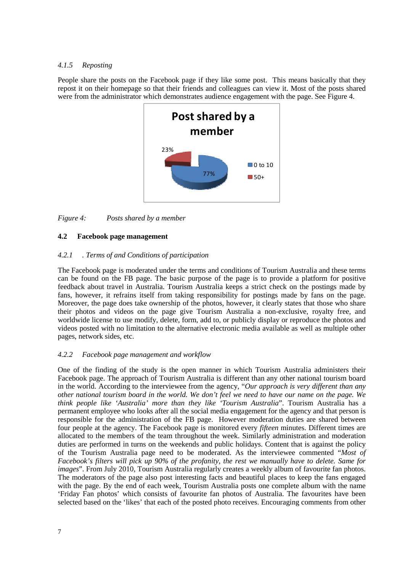#### *4.1.5 Reposting*

People share the posts on the Facebook page if they like some post. This means basically that they repost it on their homepage so that their friends and colleagues can view it. Most of the posts shared were from the administrator which demonstrates audience engagement with the page. See Figure 4.



*Figure 4: Posts shared by a member* 

#### **4.2 Facebook page management**

#### *4.2.1 . Terms of and Conditions of participation*

The Facebook page is moderated under the terms and conditions of Tourism Australia and these terms can be found on the FB page. The basic purpose of the page is to provide a platform for positive feedback about travel in Australia. Tourism Australia keeps a strict check on the postings made by fans, however, it refrains itself from taking responsibility for postings made by fans on the page. Moreover, the page does take ownership of the photos, however, it clearly states that those who share their photos and videos on the page give Tourism Australia a non-exclusive, royalty free, and worldwide license to use modify, delete, form, add to, or publicly display or reproduce the photos and videos posted with no limitation to the alternative electronic media available as well as multiple other pages, network sides, etc.

#### *4.2.2 Facebook page management and workflow*

One of the finding of the study is the open manner in which Tourism Australia administers their Facebook page. The approach of Tourism Australia is different than any other national tourism board in the world. According to the interviewee from the agency, "*Our approach is very different than any other national tourism board in the world. We don't feel we need to have our name on the page. We think people like 'Australia' more than they like 'Tourism Australia*". Tourism Australia has a permanent employee who looks after all the social media engagement for the agency and that person is responsible for the administration of the FB page. However moderation duties are shared between four people at the agency. The Facebook page is monitored every *fifteen* minutes. Different times are allocated to the members of the team throughout the week. Similarly administration and moderation duties are performed in turns on the weekends and public holidays. Content that is against the policy of the Tourism Australia page need to be moderated. As the interviewee commented "*Most of Facebook's filters will pick up 90% of the profanity, the rest we manually have to delete. Same for images*". From July 2010, Tourism Australia regularly creates a weekly album of favourite fan photos. The moderators of the page also post interesting facts and beautiful places to keep the fans engaged with the page. By the end of each week, Tourism Australia posts one complete album with the name 'Friday Fan photos' which consists of favourite fan photos of Australia. The favourites have been selected based on the 'likes' that each of the posted photo receives. Encouraging comments from other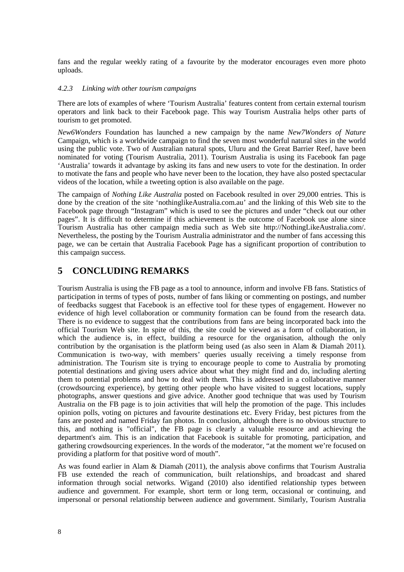fans and the regular weekly rating of a favourite by the moderator encourages even more photo uploads.

#### *4.2.3 Linking with other tourism campaigns*

There are lots of examples of where 'Tourism Australia' features content from certain external tourism operators and link back to their Facebook page. This way Tourism Australia helps other parts of tourism to get promoted.

*New6Wonders* Foundation has launched a new campaign by the name *New7Wonders of Nature* Campaign, which is a worldwide campaign to find the seven most wonderful natural sites in the world using the public vote. Two of Australian natural spots, Uluru and the Great Barrier Reef, have been nominated for voting (Tourism Australia, 2011). Tourism Australia is using its Facebook fan page 'Australia' towards it advantage by asking its fans and new users to vote for the destination. In order to motivate the fans and people who have never been to the location, they have also posted spectacular videos of the location, while a tweeting option is also available on the page.

The campaign of *Nothing Like Australia* posted on Facebook resulted in over 29,000 entries. This is done by the creation of the site 'nothinglikeAustralia.com.au' and the linking of this Web site to the Facebook page through "Instagram" which is used to see the pictures and under "check out our other pages". It is difficult to determine if this achievement is the outcome of Facebook use alone since Tourism Australia has other campaign media such as Web site http://NothingLikeAustralia.com/. Nevertheless, the posting by the Tourism Australia administrator and the number of fans accessing this page, we can be certain that Australia Facebook Page has a significant proportion of contribution to this campaign success.

## **5 CONCLUDING REMARKS**

Tourism Australia is using the FB page as a tool to announce, inform and involve FB fans. Statistics of participation in terms of types of posts, number of fans liking or commenting on postings, and number of feedbacks suggest that Facebook is an effective tool for these types of engagement. However no evidence of high level collaboration or community formation can be found from the research data. There is no evidence to suggest that the contributions from fans are being incorporated back into the official Tourism Web site. In spite of this, the site could be viewed as a form of collaboration, in which the audience is, in effect, building a resource for the organisation, although the only contribution by the organisation is the platform being used (as also seen in Alam & Diamah 2011). Communication is two-way, with members' queries usually receiving a timely response from administration. The Tourism site is trying to encourage people to come to Australia by promoting potential destinations and giving users advice about what they might find and do, including alerting them to potential problems and how to deal with them. This is addressed in a collaborative manner (crowdsourcing experience), by getting other people who have visited to suggest locations, supply photographs, answer questions and give advice. Another good technique that was used by Tourism Australia on the FB page is to join activities that will help the promotion of the page. This includes opinion polls, voting on pictures and favourite destinations etc. Every Friday, best pictures from the fans are posted and named Friday fan photos. In conclusion, although there is no obvious structure to this, and nothing is "official", the FB page is clearly a valuable resource and achieving the department's aim. This is an indication that Facebook is suitable for promoting, participation, and gathering crowdsourcing experiences. In the words of the moderator, "at the moment we're focused on providing a platform for that positive word of mouth".

As was found earlier in Alam & Diamah (2011), the analysis above confirms that Tourism Australia FB use extended the reach of communication, built relationships, and broadcast and shared information through social networks. Wigand (2010) also identified relationship types between audience and government. For example, short term or long term, occasional or continuing, and impersonal or personal relationship between audience and government. Similarly, Tourism Australia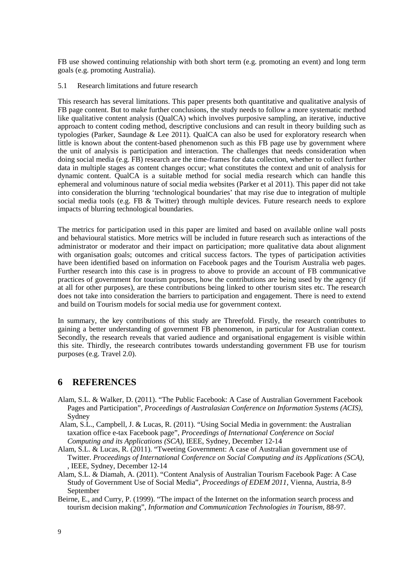FB use showed continuing relationship with both short term (e.g. promoting an event) and long term goals (e.g. promoting Australia).

#### 5.1 Research limitations and future research

This research has several limitations. This paper presents both quantitative and qualitative analysis of FB page content. But to make further conclusions, the study needs to follow a more systematic method like qualitative content analysis (QualCA) which involves purposive sampling, an iterative, inductive approach to content coding method, descriptive conclusions and can result in theory building such as typologies (Parker, Saundage & Lee 2011). QualCA can also be used for exploratory research when little is known about the content-based phenomenon such as this FB page use by government where the unit of analysis is participation and interaction. The challenges that needs consideration when doing social media (e.g. FB) research are the time-frames for data collection, whether to collect further data in multiple stages as content changes occur; what constitutes the context and unit of analysis for dynamic content. QualCA is a suitable method for social media research which can handle this ephemeral and voluminous nature of social media websites (Parker et al 2011). This paper did not take into consideration the blurring 'technological boundaries' that may rise due to integration of multiple social media tools (e.g. FB & Twitter) through multiple devices. Future research needs to explore impacts of blurring technological boundaries.

The metrics for participation used in this paper are limited and based on available online wall posts and behavioural statistics. More metrics will be included in future research such as interactions of the administrator or moderator and their impact on participation; more qualitative data about alignment with organisation goals; outcomes and critical success factors. The types of participation activities have been identified based on information on Facebook pages and the Tourism Australia web pages. Further research into this case is in progress to above to provide an account of FB communicative practices of government for tourism purposes, how the contributions are being used by the agency (if at all for other purposes), are these contributions being linked to other tourism sites etc. The research does not take into consideration the barriers to participation and engagement. There is need to extend and build on Tourism models for social media use for government context.

In summary, the key contributions of this study are Threefold. Firstly, the research contributes to gaining a better understanding of government FB phenomenon, in particular for Australian context. Secondly, the research reveals that varied audience and organisational engagement is visible within this site. Thirdly, the reseearch contributes towards understanding government FB use for tourism purposes (e.g. Travel 2.0).

## **6 REFERENCES**

- Alam, S.L. & Walker, D. (2011). "The Public Facebook: A Case of Australian Government Facebook Pages and Participation", *Proceedings of Australasian Conference on Information Systems (ACIS)*, Sydney
- Alam, S.L., Campbell, J. & Lucas, R. (2011). "Using Social Media in government: the Australian taxation office e-tax Facebook page", *Proceedings of International Conference on Social Computing and its Applications (SCA),* IEEE, Sydney, December 12-14
- Alam, S.L. & Lucas, R. (2011). "Tweeting Government: A case of Australian government use of Twitter. *Proceedings of International Conference on Social Computing and its Applications (SCA),* , IEEE, Sydney, December 12-14
- Alam, S.L. & Diamah, A. (2011). "Content Analysis of Australian Tourism Facebook Page: A Case Study of Government Use of Social Media", *Proceedings of EDEM 2011*, Vienna, Austria, 8-9 September
- Beirne, E., and Curry, P. (1999). "The impact of the Internet on the information search process and tourism decision making", *Information and Communication Technologies in Tourism*, 88-97.